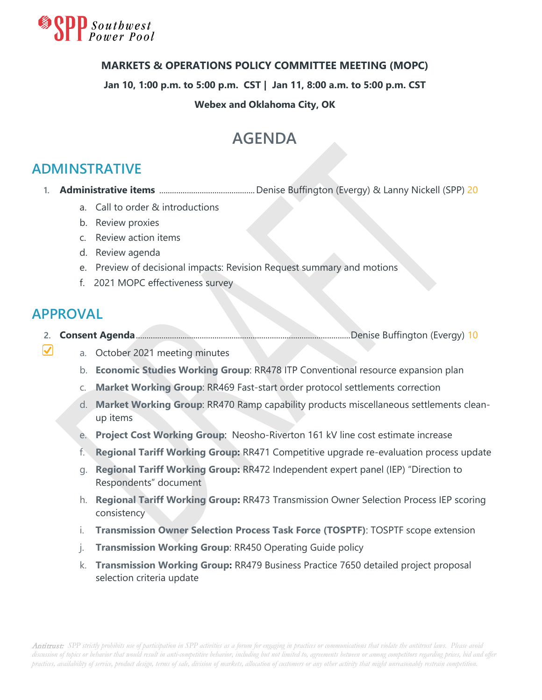

#### **MARKETS & OPERATIONS POLICY COMMITTEE MEETING (MOPC)**

**Jan 10, 1:00 p.m. to 5:00 p.m. CST | Jan 11, 8:00 a.m. to 5:00 p.m. CST**

#### **Webex and Oklahoma City, OK**

## **AGENDA**

### **ADMINSTRATIVE**

- **1. Administrative items** .............................................Denise Buffington (Evergy) & Lanny Nickell (SPP) 20
	- a. Call to order & introductions
	- b. Review proxies
	- c. Review action items
	- d. Review agenda
	- e. Preview of decisional impacts: Revision Request summary and motions
	- f. 2021 MOPC effectiveness survey

### **APPROVAL**

 $\boldsymbol{\nabla}$ 

- **2. Consent Agenda**.....................................................................................................Denise Buffington (Evergy) 10
	- a. October 2021 meeting minutes
		- b. **Economic Studies Working Group**: RR478 ITP Conventional resource expansion plan
		- c. **Market Working Group**: RR469 Fast-start order protocol settlements correction
		- d. **Market Working Group**: RR470 Ramp capability products miscellaneous settlements cleanup items
		- e. **Project Cost Working Group**: Neosho-Riverton 161 kV line cost estimate increase
		- f. **Regional Tariff Working Group:** RR471 Competitive upgrade re-evaluation process update
		- g. **Regional Tariff Working Group:** RR472 Independent expert panel (IEP) "Direction to Respondents" document
		- h. **Regional Tariff Working Group:** RR473 Transmission Owner Selection Process IEP scoring consistency
		- i. **Transmission Owner Selection Process Task Force (TOSPTF)**: TOSPTF scope extension
		- j. **Transmission Working Group**: RR450 Operating Guide policy
		- k. **Transmission Working Group:** RR479 Business Practice 7650 detailed project proposal selection criteria update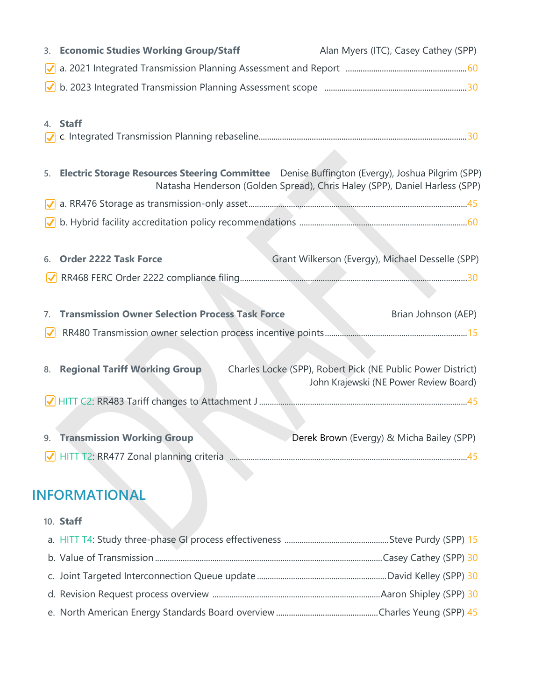|          | 3. Economic Studies Working Group/Staff                                                        |  | Alan Myers (ITC), Casey Cathey (SPP)                                       |                     |
|----------|------------------------------------------------------------------------------------------------|--|----------------------------------------------------------------------------|---------------------|
|          |                                                                                                |  |                                                                            |                     |
|          |                                                                                                |  |                                                                            |                     |
|          |                                                                                                |  |                                                                            |                     |
| 4. Staff |                                                                                                |  |                                                                            |                     |
|          |                                                                                                |  |                                                                            |                     |
|          |                                                                                                |  |                                                                            |                     |
| 5.       | Electric Storage Resources Steering Committee Denise Buffington (Evergy), Joshua Pilgrim (SPP) |  | Natasha Henderson (Golden Spread), Chris Haley (SPP), Daniel Harless (SPP) |                     |
|          |                                                                                                |  |                                                                            |                     |
|          |                                                                                                |  |                                                                            |                     |
|          |                                                                                                |  |                                                                            |                     |
| 6.       | <b>Order 2222 Task Force</b>                                                                   |  | Grant Wilkerson (Evergy), Michael Desselle (SPP)                           |                     |
|          |                                                                                                |  |                                                                            |                     |
|          |                                                                                                |  |                                                                            |                     |
| 7.       | <b>Transmission Owner Selection Process Task Force</b>                                         |  |                                                                            | Brian Johnson (AEP) |
|          |                                                                                                |  |                                                                            |                     |
|          |                                                                                                |  |                                                                            |                     |
| 8.       | <b>Regional Tariff Working Group</b>                                                           |  | Charles Locke (SPP), Robert Pick (NE Public Power District)                |                     |
|          |                                                                                                |  | John Krajewski (NE Power Review Board)                                     |                     |
|          |                                                                                                |  |                                                                            |                     |
|          |                                                                                                |  |                                                                            |                     |
|          | 9. Transmission Working Group                                                                  |  | Derek Brown (Evergy) & Micha Bailey (SPP)                                  |                     |
|          |                                                                                                |  |                                                                            |                     |
|          |                                                                                                |  |                                                                            |                     |
|          |                                                                                                |  |                                                                            |                     |

# **INFORMATIONAL**

| 10. Staff |  |
|-----------|--|
|           |  |
|           |  |
|           |  |
|           |  |
|           |  |